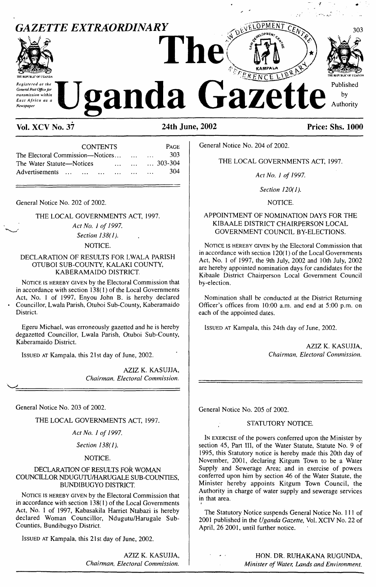

# **Vol. XCV No. 37 24th June, 2002 Price: Shs. 1000**

| <b>CONTENTS</b>                                                             | <b>PAGE</b>      |
|-----------------------------------------------------------------------------|------------------|
| The Electoral Commission—Notices                                            | 303              |
| The Water Statute—Notices<br>$\mathbf{r}$ and $\mathbf{r}$ and $\mathbf{r}$ | $\ldots$ 303-304 |
| Advertisements<br>$\cdots$                                                  | 304<br>$\cdots$  |

General Notice No. 202 of 2002.

# THE LOCAL GOVERNMENTS ACT, 1997.

*Act No. <sup>1</sup> of 1997. Section 138(1).*

# NOTICE.

# DECLARATION OF RESULTS FOR LWALA PARISH OTUBOI SUB-COUNTY, KALAKI COUNTY, KABERAMAIDO DISTRICT.

NOTICE IS HEREBY GIVEN by the Electoral Commission that in accordance with section  $138(1)$  of the Local Governments Act, No. <sup>1</sup> of 1997, Enyou John B. is hereby declared Councillor, Lwala Parish, Otuboi Sub-County, Kaberamaido **District.** 

Egeru Michael, was erroneously gazetted and he is hereby degazetted Councillor, Lwala Parish, Otuboi Sub-County, Kaberamaido District.

Issued at Kampala, this 21st day of June, 2002.

AZIZ K. KASUJJA, *Chairman, Electoral Commission.*

General Notice No. 203 of 2002.

THE LOCAL GOVERNMENTS ACT, 1997.

# *Act No. <sup>1</sup> of 1997.*

*Section 138(1).*

# NOTICE.

#### DECLARATION OF RESULTS FOR WOMAN COUNCILLOR NDUGUTU/HARUGALE SUB-COUNTIES, BUNDIBUGYO DISTRICT.

NOTICE IS HEREBY GIVEN by the Electoral Commission that in accordance with section  $138(1)$  of the Local Governments Act, No. <sup>1</sup> of 1997, Kabasakila Harriet Ntabazi is hereby declared Woman Councillor, Ndugutu/Harugale Sub-Counties, Bundibugyo District.

Issued at Kampala, this 21st day of June, 2002.

AZIZ K. KASUJJA, *Chairman, Electoral Commission.* General Notice No. 204 of 2002.

# THE LOCAL GOVERNMENTS ACT, 1997.

*Act No. <sup>1</sup> of 1997.*

*Section 120(1).*

NOTICE.

# APPOINTMENT OF NOMINATION DAYS FOR THE KIBAALE DISTRICT CHAIRPERSON LOCAL GOVERNMENT COUNCIL BY-ELECTIONS.

NOTICE IS HEREBY GIVEN by the Electoral Commission that in accordance with section  $120(1)$  of the Local Governments Act, No. <sup>1</sup> of 1997, the 9th July, 2002 and 10th July, 2002 are hereby appointed nomination days for candidates for the Kibaale District Chairperson Local Government Council by-election.

Nomination shall be conducted at the District Returning Officer's offices from 10:00 a.m. and end at 5:00 p.m. on each of the appointed dates.

ISSUED AT Kampala, this 24th day of June, 2002.

AZIZ K. KASUJJA, *Chairman, Electoral Commission.*

General Notice No. 205 of 2002.

#### STATUTORY NOTICE.

I<sup>n</sup> exercise of the powers conferred upon the Minister by section 45, Part III, of the Water Statute, Statute No. 9 of 1995, this Statutory notice is hereby made this 20th day of November, 2001, declaring Kitgum Town to be a Water Supply and Sewerage Area; and in exercise of powers conferred upon him by section 46 of the Water Statute, the Minister hereby appoints Kitgum Town Council, the Authority in charge of water supply and sewerage services in that area.

The Statutory Notice suspends General Notice No. 111 of 2001 published in the *Uganda Gazette,* Vol. XCIV No. 22 of April, 26 2001, until further notice.

> HON. DR. RUHAKANA RUGUNDA, *Minister of Water, Lands and Environment.*